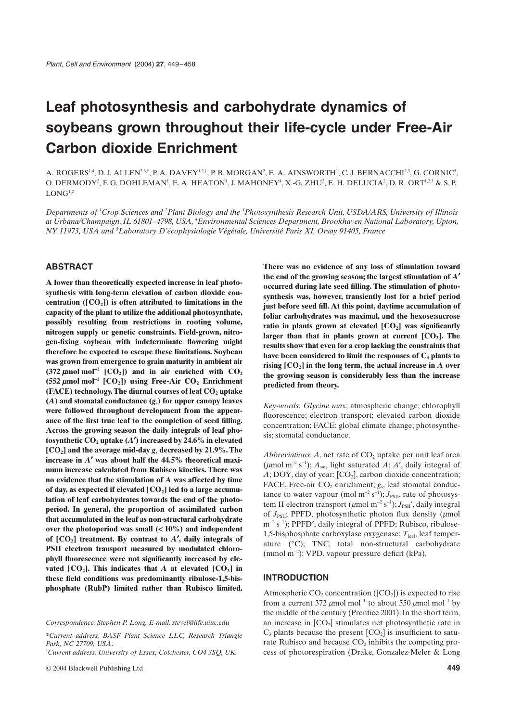# **Leaf photosynthesis and carbohydrate dynamics of soybeans grown throughout their life-cycle under Free-Air Carbon dioxide Enrichment**

A.  $\text{ROGERS}^{1,4}, \text{D. J. ALLEN}^{2,3,*}, \text{P. A. DAVEY}^{1,2,4}, \text{P. B. MORGAN}^2, \text{E. A. AINSWORTH}^1, \text{C. J. BERNACCHI}^{2,3}, \text{G. CORNIC}^5,$ O. DERMODY<sup>2</sup>, F. G. DOHLEMAN<sup>1</sup>, E. A. HEATON<sup>1</sup>, J. MAHONEY<sup>4</sup>, X.-G. ZHU<sup>2</sup>, E. H. DELUCIA<sup>2</sup>, D. R. ORT<sup>1.2,3</sup> & S. P.  $LONG<sup>1,2</sup>$ 

*Departments of 1 Crop Sciences and 2 Plant Biology and the 3 Photosynthesis Research Unit, USDA/ARS, University of Illinois at Urbana/Champaign, IL 61801–4798, USA, 4 Environmental Sciences Department, Brookhaven National Laboratory, Upton, NY 11973, USA and 5 Laboratory D'écophysiologie Végétale, Université Paris XI, Orsay 91405, France*

## **ABSTRACT**

**A lower than theoretically expected increase in leaf photosynthesis with long-term elevation of carbon dioxide con**centration  $([CO<sub>2</sub>])$  is often attributed to limitations in the **capacity of the plant to utilize the additional photosynthate, possibly resulting from restrictions in rooting volume, nitrogen supply or genetic constraints. Field-grown, nitrogen-fixing soybean with indeterminate flowering might therefore be expected to escape these limitations. Soybean was grown from emergence to grain maturity in ambient air**  $(372 \mu \text{mol} \text{ mol}^{-1}$   $[CO_2]$ ) and in air enriched with  $CO_2$  $(552 \mu \text{mol mol}^{-1} \left[ CO_2 \right])$  using Free-Air  $CO_2$  Enrichment **(FACE) technology. The diurnal courses of leaf CO<sub>2</sub> uptake (***A***) and stomatal conductance (***g***s) for upper canopy leaves were followed throughout development from the appearance of the first true leaf to the completion of seed filling. Across the growing season the daily integrals of leaf photosynthetic CO2 uptake (***A* ¢**) increased by 24.6% in elevated [CO2] and the average mid-day** *g***s decreased by 21.9%. The increase in** *A* ¢ **was about half the 44.5% theoretical maximum increase calculated from Rubisco kinetics. There was no evidence that the stimulation of** *A* **was affected by time** of day, as expected if elevated [CO<sub>2</sub>] led to a large accumu**lation of leaf carbohydrates towards the end of the photoperiod. In general, the proportion of assimilated carbon that accumulated in the leaf as non-structural carbohydrate over the photoperiod was small (**< **10%) and independent of [CO2] treatment. By contrast to** *A* ¢**, daily integrals of PSII electron transport measured by modulated chlorophyll fluorescence were not significantly increased by ele**vated  $[CO_2]$ . This indicates that *A* at elevated  $[CO_2]$  in **these field conditions was predominantly ribulose-1,5-bisphosphate (RubP) limited rather than Rubisco limited.**

*Correspondence: Stephen P. Long. E-mail: stevel@life.uiuc.edu*

\**Current address: BASF Plant Science LLC, Research Triangle Park, NC 27709, USA*.

† *Current address: University of Essex, Colchester, CO4 3SQ, UK.*

**There was no evidence of any loss of stimulation toward the end of the growing season; the largest stimulation of** *A* ¢ **occurred during late seed filling. The stimulation of photosynthesis was, however, transiently lost for a brief period just before seed fill. At this point, daytime accumulation of foliar carbohydrates was maximal, and the hexose:sucrose** ratio in plants grown at elevated [CO<sub>2</sub>] was significantly larger than that in plants grown at current  $[CO<sub>2</sub>]$ . The **results show that even for a crop lacking the constraints that have been considered to limit the responses of C3 plants to rising**  $[CO_2]$  **in the long term, the actual increase in**  $A$  **over the growing season is considerably less than the increase predicted from theory.**

*Key-words*: *Glycine max*; atmospheric change; chlorophyll fluorescence; electron transport; elevated carbon dioxide concentration; FACE; global climate change; photosynthesis; stomatal conductance.

*Abbreviations: A*, net rate of  $CO<sub>2</sub>$  uptake per unit leaf area ( $\mu$ mol m<sup>-2</sup> s<sup>-1</sup>);  $A_{\text{sat}}$ , light saturated  $A$ ;  $A'$ , daily integral of  $A$ ; DOY, day of year;  $[CO_2]$ , carbon dioxide concentration; FACE, Free-air CO<sub>2</sub> enrichment; *g<sub>s</sub>*, leaf stomatal conductance to water vapour (mol  $m^{-2} s^{-1}$ );  $J_{PSII}$ , rate of photosystem II electron transport ( $\mu$ mol m<sup>-2</sup> s<sup>-1</sup>); *J*<sub>PSII</sub>', daily integral of  $J_{PSII}$ ; PPFD, photosynthetic photon flux density ( $\mu$ mol  $m^{-2} s^{-1}$ ); PPFD', daily integral of PPFD; Rubisco, ribulose-1,5-bisphosphate carboxylase oxygenase; *T*leaf, leaf temperature (∞C); TNC, total non-structural carbohydrate (mmol m-<sup>2</sup> ); VPD, vapour pressure deficit (kPa).

#### **INTRODUCTION**

Atmospheric  $CO_2$  concentration ( $[CO_2]$ ) is expected to rise from a current 372  $\mu$ mol mol<sup>-1</sup> to about 550  $\mu$ mol mol<sup>-1</sup> by the middle of the century (Prentice 2001). In the short term, an increase in  $[CO<sub>2</sub>]$  stimulates net photosynthetic rate in  $C_3$  plants because the present  $[CO_2]$  is insufficient to saturate Rubisco and because  $CO<sub>2</sub>$  inhibits the competing process of photorespiration (Drake, Gonzalez-Meler & Long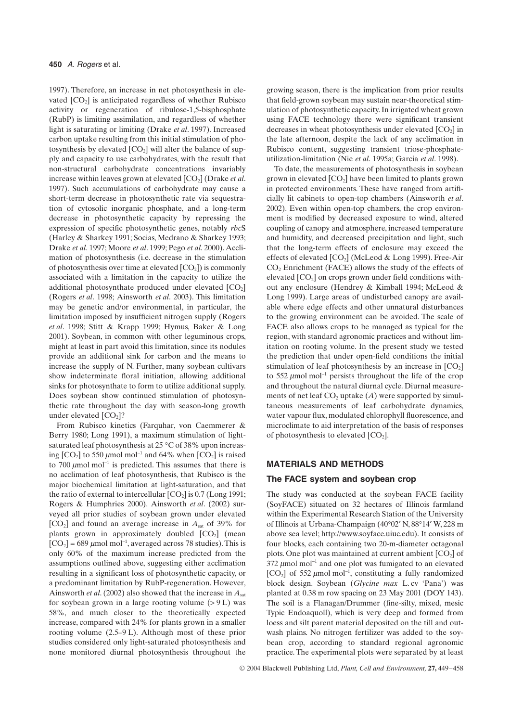1997). Therefore, an increase in net photosynthesis in elevated  $[CO<sub>2</sub>]$  is anticipated regardless of whether Rubisco activity or regeneration of ribulose-1,5-bisphosphate (RubP) is limiting assimilation, and regardless of whether light is saturating or limiting (Drake *et al*. 1997). Increased carbon uptake resulting from this initial stimulation of photosynthesis by elevated  $[CO<sub>2</sub>]$  will alter the balance of supply and capacity to use carbohydrates, with the result that non-structural carbohydrate concentrations invariably increase within leaves grown at elevated  $[CO<sub>2</sub>]$  (Drake *et al.*) 1997). Such accumulations of carbohydrate may cause a short-term decrease in photosynthetic rate via sequestration of cytosolic inorganic phosphate, and a long-term decrease in photosynthetic capacity by repressing the expression of specific photosynthetic genes, notably *rbc*S (Harley & Sharkey 1991; Socias, Medrano & Sharkey 1993; Drake *et al*. 1997; Moore *et al*. 1999; Pego *et al*. 2000). Acclimation of photosynthesis (i.e. decrease in the stimulation of photosynthesis over time at elevated  $[CO_2]$ ) is commonly associated with a limitation in the capacity to utilize the additional photosynthate produced under elevated  $[CO<sub>2</sub>]$ (Rogers *et al*. 1998; Ainsworth *et al*. 2003). This limitation may be genetic and/or environmental, in particular, the limitation imposed by insufficient nitrogen supply (Rogers *et al*. 1998; Stitt & Krapp 1999; Hymus, Baker & Long 2001). Soybean, in common with other leguminous crops, might at least in part avoid this limitation, since its nodules provide an additional sink for carbon and the means to increase the supply of N. Further, many soybean cultivars show indeterminate floral initiation, allowing additional sinks for photosynthate to form to utilize additional supply. Does soybean show continued stimulation of photosynthetic rate throughout the day with season-long growth under elevated  $[CO<sub>2</sub>]$ ?

From Rubisco kinetics (Farquhar, von Caemmerer & Berry 1980; Long 1991), a maximum stimulation of lightsaturated leaf photosynthesis at 25 °C of 38% upon increasing  $[CO_2]$  to 550  $\mu$ mol mol<sup>-1</sup> and 64% when  $[CO_2]$  is raised to 700  $\mu$ mol mol<sup>-1</sup> is predicted. This assumes that there is no acclimation of leaf photosynthesis, that Rubisco is the major biochemical limitation at light-saturation, and that the ratio of external to intercellular  $[CO<sub>2</sub>]$  is 0.7 (Long 1991; Rogers & Humphries 2000). Ainsworth *et al*. (2002) surveyed all prior studies of soybean grown under elevated  $[CO<sub>2</sub>]$  and found an average increase in  $A<sub>sat</sub>$  of 39% for plants grown in approximately doubled  $[CO<sub>2</sub>]$  (mean  $[CO<sub>2</sub>] = 689 \mu mol mol<sup>-1</sup>$ , averaged across 78 studies). This is only 60% of the maximum increase predicted from the assumptions outlined above, suggesting either acclimation resulting in a significant loss of photosynthetic capacity, or a predominant limitation by RubP-regeneration. However, Ainsworth *et al*. (2002) also showed that the increase in *A*sat for soybean grown in a large rooting volume  $(> 9 L)$  was 58%, and much closer to the theoretically expected increase, compared with 24% for plants grown in a smaller rooting volume (2.5–9 L). Although most of these prior studies considered only light-saturated photosynthesis and none monitored diurnal photosynthesis throughout the growing season, there is the implication from prior results that field-grown soybean may sustain near-theoretical stimulation of photosynthetic capacity. In irrigated wheat grown using FACE technology there were significant transient decreases in wheat photosynthesis under elevated  $[CO<sub>2</sub>]$  in the late afternoon, despite the lack of any acclimation in Rubisco content, suggesting transient triose-phosphateutilization-limitation (Nie *et al*. 1995a; Garcia *et al*. 1998).

To date, the measurements of photosynthesis in soybean grown in elevated  $[CO_2]$  have been limited to plants grown in protected environments. These have ranged from artificially lit cabinets to open-top chambers (Ainsworth *et al*. 2002). Even within open-top chambers, the crop environment is modified by decreased exposure to wind, altered coupling of canopy and atmosphere, increased temperature and humidity, and decreased precipitation and light, such that the long-term effects of enclosure may exceed the effects of elevated  $[CO_2]$  (McLeod & Long 1999). Free-Air CO<sub>2</sub> Enrichment (FACE) allows the study of the effects of elevated  $[CO<sub>2</sub>]$  on crops grown under field conditions without any enclosure (Hendrey & Kimball 1994; McLeod & Long 1999). Large areas of undisturbed canopy are available where edge effects and other unnatural disturbances to the growing environment can be avoided. The scale of FACE also allows crops to be managed as typical for the region, with standard agronomic practices and without limitation on rooting volume. In the present study we tested the prediction that under open-field conditions the initial stimulation of leaf photosynthesis by an increase in  $[CO<sub>2</sub>]$ to 552  $\mu$ mol mol<sup>-1</sup> persists throughout the life of the crop and throughout the natural diurnal cycle. Diurnal measurements of net leaf  $CO<sub>2</sub>$  uptake  $(A)$  were supported by simultaneous measurements of leaf carbohydrate dynamics, water vapour flux, modulated chlorophyll fluorescence, and microclimate to aid interpretation of the basis of responses of photosynthesis to elevated  $[CO<sub>2</sub>]$ .

## **MATERIALS AND METHODS**

#### **The FACE system and soybean crop**

The study was conducted at the soybean FACE facility (SoyFACE) situated on 32 hectares of Illinois farmland within the Experimental Research Station of the University of Illinois at Urbana-Champaign (40∞02¢ N, 88∞14¢ W, 228 m above sea level; <http://www.soyface.uiuc.edu>). It consists of four blocks, each containing two 20-m-diameter octagonal plots. One plot was maintained at current ambient  $[CO<sub>2</sub>]$  of  $372 \mu$ mol mol<sup>-1</sup> and one plot was fumigated to an elevated [CO<sub>2</sub>] of 552  $\mu$ mol mol<sup>-1</sup>, constituting a fully randomized block design. Soybean (*Glycine max* L. cv 'Pana') was planted at 0.38 m row spacing on 23 May 2001 (DOY 143). The soil is a Flanagan/Drummer (fine-silty, mixed, mesic Typic Endoaquoll), which is very deep and formed from loess and silt parent material deposited on the till and outwash plains. No nitrogen fertilizer was added to the soybean crop, according to standard regional agronomic practice. The experimental plots were separated by at least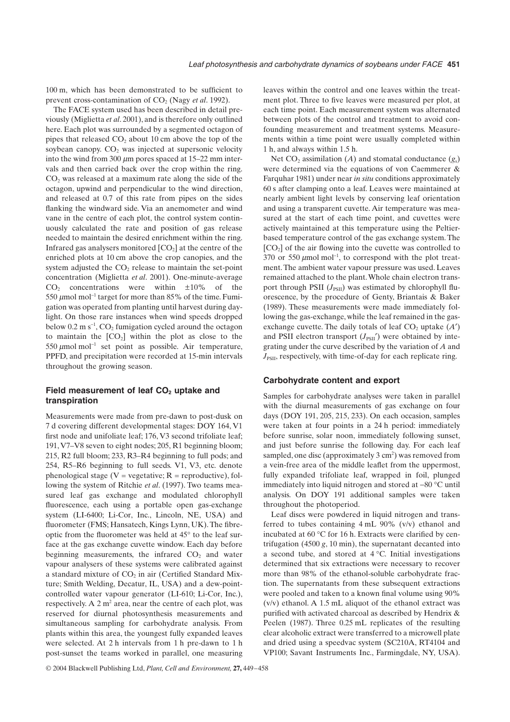100 m, which has been demonstrated to be sufficient to prevent cross-contamination of CO<sub>2</sub> (Nagy *et al.* 1992).

The FACE system used has been described in detail previously (Miglietta *et al*. 2001), and is therefore only outlined here. Each plot was surrounded by a segmented octagon of pipes that released  $CO<sub>2</sub>$  about 10 cm above the top of the soybean canopy.  $CO<sub>2</sub>$  was injected at supersonic velocity into the wind from 300  $\mu$ m pores spaced at 15–22 mm intervals and then carried back over the crop within the ring.  $CO<sub>2</sub>$  was released at a maximum rate along the side of the octagon, upwind and perpendicular to the wind direction, and released at 0.7 of this rate from pipes on the sides flanking the windward side. Via an anemometer and wind vane in the centre of each plot, the control system continuously calculated the rate and position of gas release needed to maintain the desired enrichment within the ring. Infrared gas analysers monitored  $[CO<sub>2</sub>]$  at the centre of the enriched plots at 10 cm above the crop canopies, and the system adjusted the  $CO<sub>2</sub>$  release to maintain the set-point concentration (Miglietta *et al*. 2001). One-minute-average  $CO<sub>2</sub>$  concentrations were within  $\pm 10\%$  of the 550  $\mu$ mol mol<sup>-1</sup> target for more than 85% of the time. Fumigation was operated from planting until harvest during daylight. On those rare instances when wind speeds dropped below  $0.2 \text{ m s}^{-1}$ ,  $\text{CO}_2$  fumigation cycled around the octagon to maintain the  $[CO<sub>2</sub>]$  within the plot as close to the 550  $\mu$ mol mol<sup>-1</sup> set point as possible. Air temperature, PPFD, and precipitation were recorded at 15-min intervals throughout the growing season.

## Field measurement of leaf CO<sub>2</sub> uptake and **transpiration**

Measurements were made from pre-dawn to post-dusk on 7 d covering different developmental stages: DOY 164, V1 first node and unifoliate leaf; 176, V3 second trifoliate leaf; 191, V7–V8 seven to eight nodes; 205, R1 beginning bloom; 215, R2 full bloom; 233, R3–R4 beginning to full pods; and 254, R5–R6 beginning to full seeds. V1, V3, etc. denote phenological stage ( $V =$  vegetative;  $R =$  reproductive), following the system of Ritchie *et al*. (1997). Two teams measured leaf gas exchange and modulated chlorophyll fluorescence, each using a portable open gas-exchange system (LI-6400; Li-Cor, Inc., Lincoln, NE, USA) and fluorometer (FMS; Hansatech, Kings Lynn, UK). The fibreoptic from the fluorometer was held at 45∞ to the leaf surface at the gas exchange cuvette window. Each day before beginning measurements, the infrared  $CO<sub>2</sub>$  and water vapour analysers of these systems were calibrated against a standard mixture of  $CO<sub>2</sub>$  in air (Certified Standard Mixture; Smith Welding, Decatur, IL, USA) and a dew-pointcontrolled water vapour generator (LI-610; Li-Cor, Inc.), respectively. A  $2 \text{ m}^2$  area, near the centre of each plot, was reserved for diurnal photosynthesis measurements and simultaneous sampling for carbohydrate analysis. From plants within this area, the youngest fully expanded leaves were selected. At 2 h intervals from 1 h pre-dawn to 1 h post-sunset the teams worked in parallel, one measuring leaves within the control and one leaves within the treatment plot. Three to five leaves were measured per plot, at each time point. Each measurement system was alternated between plots of the control and treatment to avoid confounding measurement and treatment systems. Measurements within a time point were usually completed within 1 h, and always within 1.5 h.

Net  $CO_2$  assimilation (*A*) and stomatal conductance ( $g_s$ ) were determined via the equations of von Caemmerer & Farquhar 1981) under near *in situ* conditions approximately 60 s after clamping onto a leaf. Leaves were maintained at nearly ambient light levels by conserving leaf orientation and using a transparent cuvette. Air temperature was measured at the start of each time point, and cuvettes were actively maintained at this temperature using the Peltierbased temperature control of the gas exchange system. The  $[CO<sub>2</sub>]$  of the air flowing into the cuvette was controlled to 370 or 550  $\mu$ mol mol<sup>-1</sup>, to correspond with the plot treatment. The ambient water vapour pressure was used. Leaves remained attached to the plant. Whole chain electron transport through PSII  $(J_{PSII})$  was estimated by chlorophyll fluorescence, by the procedure of Genty, Briantais & Baker (1989). These measurements were made immediately following the gas-exchange, while the leaf remained in the gasexchange cuvette. The daily totals of leaf  $CO<sub>2</sub>$  uptake  $(A')$ and PSII electron transport  $(J_{PSII})$  were obtained by integrating under the curve described by the variation of *A* and  $J_{PSII}$ , respectively, with time-of-day for each replicate ring.

#### **Carbohydrate content and export**

Samples for carbohydrate analyses were taken in parallel with the diurnal measurements of gas exchange on four days (DOY 191, 205, 215, 233). On each occasion, samples were taken at four points in a 24 h period: immediately before sunrise, solar noon, immediately following sunset, and just before sunrise the following day. For each leaf sampled, one disc (approximately  $3 \text{ cm}^2$ ) was removed from a vein-free area of the middle leaflet from the uppermost, fully expanded trifoliate leaf, wrapped in foil, plunged immediately into liquid nitrogen and stored at -80 ∞C until analysis. On DOY 191 additional samples were taken throughout the photoperiod.

Leaf discs were powdered in liquid nitrogen and transferred to tubes containing 4 mL 90% (v/v) ethanol and incubated at 60 ∞C for 16 h. Extracts were clarified by centrifugation  $(4500 g, 10 min)$ , the supernatant decanted into a second tube, and stored at 4 ∞C. Initial investigations determined that six extractions were necessary to recover more than 98% of the ethanol-soluble carbohydrate fraction. The supernatants from these subsequent extractions were pooled and taken to a known final volume using 90% (v/v) ethanol. A 1.5 mL aliquot of the ethanol extract was purified with activated charcoal as described by Hendrix & Peelen (1987). Three 0.25 mL replicates of the resulting clear alcoholic extract were transferred to a microwell plate and dried using a speedvac system (SC210A, RT4104 and VP100; Savant Instruments Inc., Farmingdale, NY, USA).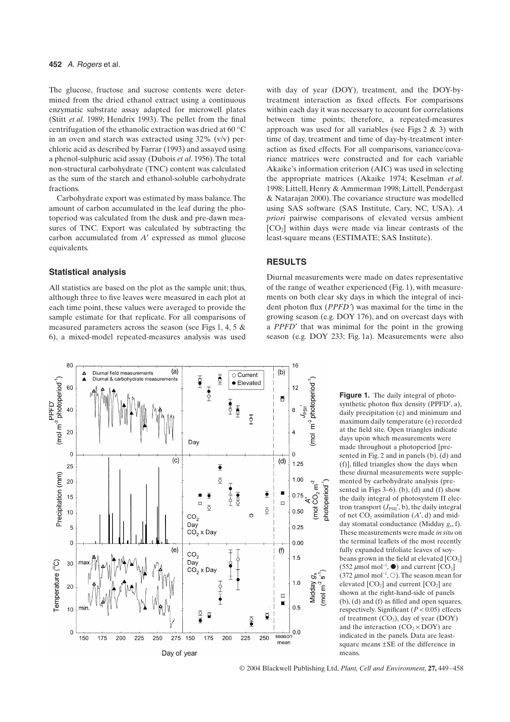The glucose, fructose and sucrose contents were determined from the dried ethanol extract using a continuous enzymatic substrate assay adapted for microwell plates (Stitt *et al*. 1989; Hendrix 1993). The pellet from the final centrifugation of the ethanolic extraction was dried at 60 ∞C in an oven and starch was extracted using 32% (v/v) perchloric acid as described by Farrar (1993) and assayed using a phenol-sulphuric acid assay (Dubois *et al*. 1956). The total non-structural carbohydrate (TNC) content was calculated as the sum of the starch and ethanol-soluble carbohydrate fractions.

Carbohydrate export was estimated by mass balance. The amount of carbon accumulated in the leaf during the photoperiod was calculated from the dusk and pre-dawn measures of TNC. Export was calculated by subtracting the carbon accumulated from *A'* expressed as mmol glucose equivalents.

### **Statistical analysis**

All statistics are based on the plot as the sample unit; thus, although three to five leaves were measured in each plot at each time point, these values were averaged to provide the sample estimate for that replicate. For all comparisons of measured parameters across the season (see Figs 1, 4, 5 & 6), a mixed-model repeated-measures analysis was used



with day of year (DOY), treatment, and the DOY-bytreatment interaction as fixed effects. For comparisons within each day it was necessary to account for correlations between time points; therefore, a repeated-measures approach was used for all variables (see Figs  $2 \& 3$ ) with time of day, treatment and time of day-by-treatment interaction as fixed effects. For all comparisons, variance/covariance matrices were constructed and for each variable Akaike's information criterion (AIC) was used in selecting the appropriate matrices (Akaike 1974; Keselman *et al*. 1998; Littell, Henry & Ammerman 1998; Littell, Pendergast & Natarajan 2000). The covariance structure was modelled using SAS software (SAS Institute, Cary, NC, USA). *A priori* pairwise comparisons of elevated versus ambient  $[CO<sub>2</sub>]$  within days were made via linear contrasts of the least-square means (ESTIMATE; SAS Institute).

### **RESULTS**

Diurnal measurements were made on dates representative of the range of weather experienced (Fig. 1), with measurements on both clear sky days in which the integral of incident photon flux (*PPFD*¢) was maximal for the time in the growing season (e.g. DOY 176), and on overcast days with a *PPFD'* that was minimal for the point in the growing season (e.g. DOY 233; Fig. 1a). Measurements were also

> Figure 1. The daily integral of photosynthetic photon flux density ( $PPFD', a$ ), daily precipitation (c) and minimum and maximum daily temperature (e) recorded at the field site. Open triangles indicate days upon which measurements were made throughout a photoperiod [presented in Fig. 2 and in panels (b), (d) and (f)], filled triangles show the days when these diurnal measurements were supplemented by carbohydrate analysis (presented in Figs  $3-6$ ). (b), (d) and (f) show the daily integral of photosystem II electron transport ( $J_{PSII}$ <sup>'</sup>, b), the daily integral of net  $CO<sub>2</sub>$  assimilation  $(A', d)$  and midday stomatal conductance (Midday *g*s, f). These measurements were made *in situ* on the terminal leaflets of the most recently fully expanded trifoliate leaves of soybeans grown in the field at elevated  $[CO<sub>2</sub>]$ (552  $\mu$ mol mol<sup>-1</sup>,  $\bullet$ ) and current [CO<sub>2</sub>] (372  $\mu$ mol mol<sup>-1</sup>,  $\circ$ ). The season mean for elevated  $[CO<sub>2</sub>]$  and current  $[CO<sub>2</sub>]$  are shown at the right-hand-side of panels (b), (d) and (f) as filled and open squares, respectively. Significant (*P* < 0.05) effects of treatment  $(CO_2)$ , day of year  $(DOY)$ and the interaction  $(CO<sub>2</sub> \times DOY)$  are indicated in the panels. Data are leastsquare means ±SE of the difference in means.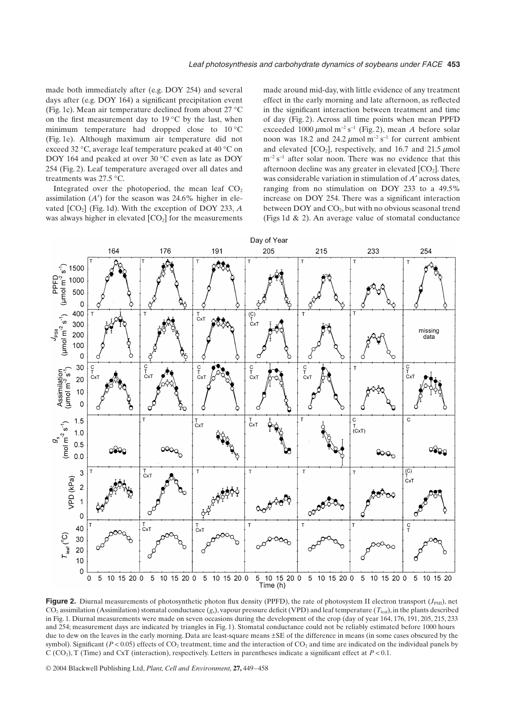made both immediately after (e.g. DOY 254) and several days after (e.g. DOY 164) a significant precipitation event (Fig. 1c). Mean air temperature declined from about 27 ∞C on the first measurement day to 19  $\degree$ C by the last, when minimum temperature had dropped close to  $10^{\circ}$ C (Fig. 1e). Although maximum air temperature did not exceed 32 ∞C, average leaf temperature peaked at 40 ∞C on DOY 164 and peaked at over 30 ∞C even as late as DOY 254 (Fig. 2). Leaf temperature averaged over all dates and treatments was 27.5 ∞C.

Integrated over the photoperiod, the mean leaf  $CO<sub>2</sub>$ assimilation  $(A')$  for the season was 24.6% higher in elevated  $[CO<sub>2</sub>]$  (Fig. 1d). With the exception of DOY 233,  $\dot{A}$ was always higher in elevated  $[CO<sub>2</sub>]$  for the measurements

made around mid-day, with little evidence of any treatment effect in the early morning and late afternoon, as reflected in the significant interaction between treatment and time of day (Fig. 2). Across all time points when mean PPFD exceeded  $1000 \mu$ mol m<sup>-2</sup> s<sup>-1</sup> (Fig. 2), mean *A* before solar noon was 18.2 and 24.2  $\mu$ mol m<sup>-2</sup> s<sup>-1</sup> for current ambient and elevated  $[CO_2]$ , respectively, and 16.7 and 21.5  $\mu$ mol  $m^{-2}$  s<sup>-1</sup> after solar noon. There was no evidence that this afternoon decline was any greater in elevated  $[CO<sub>2</sub>]$ . There was considerable variation in stimulation of *A*<sup> $\prime$ </sup> across dates, ranging from no stimulation on DOY 233 to a 49.5% increase on DOY 254. There was a significant interaction between  $DOY$  and  $CO<sub>2</sub>$ , but with no obvious seasonal trend (Figs 1d & 2). An average value of stomatal conductance



**Figure 2.** Diurnal measurements of photosynthetic photon flux density (PPFD), the rate of photosystem II electron transport ( $J_{PSI}$ ), net  $CO_2$  assimilation (Assimilation) stomatal conductance  $(g_s)$ , vapour pressure deficit (VPD) and leaf temperature ( $T_{\text{leaf}}$ ), in the plants described in Fig. 1. Diurnal measurements were made on seven occasions during the development of the crop (day of year 164, 176, 191, 205, 215, 233 and 254; measurement days are indicated by triangles in Fig. 1). Stomatal conductance could not be reliably estimated before 1000 hours due to dew on the leaves in the early morning. Data are least-square means ±SE of the difference in means (in some cases obscured by the symbol). Significant ( $P < 0.05$ ) effects of CO<sub>2</sub> treatment, time and the interaction of CO<sub>2</sub> and time are indicated on the individual panels by C (CO<sub>2</sub>), T (Time) and CxT (interaction), respectively. Letters in parentheses indicate a significant effect at  $P < 0.1$ .

© 2004 Blackwell Publishing Ltd, *Plant, Cell and Environment,* **27,** 449–458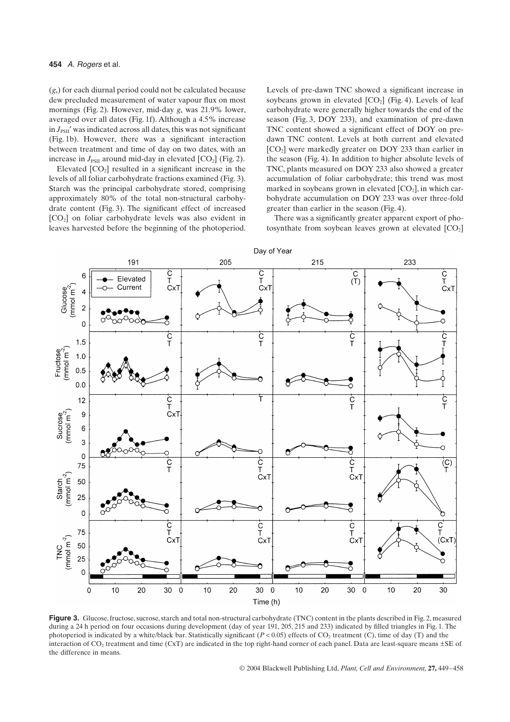(*g*s) for each diurnal period could not be calculated because dew precluded measurement of water vapour flux on most mornings (Fig. 2). However, mid-day  $g_s$  was 21.9% lower, averaged over all dates (Fig. 1f). Although a 4.5% increase in  $J_{\text{PSII}}'$  was indicated across all dates, this was not significant (Fig. 1b). However, there was a significant interaction between treatment and time of day on two dates, with an increase in  $J_{PSII}$  around mid-day in elevated  $[CO_2]$  (Fig. 2).

Elevated  $[CO<sub>2</sub>]$  resulted in a significant increase in the levels of all foliar carbohydrate fractions examined (Fig. 3). Starch was the principal carbohydrate stored, comprising approximately 80% of the total non-structural carbohydrate content (Fig. 3). The significant effect of increased [CO2] on foliar carbohydrate levels was also evident in leaves harvested before the beginning of the photoperiod. Levels of pre-dawn TNC showed a significant increase in soybeans grown in elevated  $[CO_2]$  (Fig. 4). Levels of leaf carbohydrate were generally higher towards the end of the season (Fig. 3, DOY 233), and examination of pre-dawn TNC content showed a significant effect of DOY on predawn TNC content. Levels at both current and elevated [CO<sub>2</sub>] were markedly greater on DOY 233 than earlier in the season (Fig. 4). In addition to higher absolute levels of TNC, plants measured on DOY 233 also showed a greater accumulation of foliar carbohydrate; this trend was most marked in soybeans grown in elevated  $[CO<sub>2</sub>]$ , in which carbohydrate accumulation on DOY 233 was over three-fold greater than earlier in the season (Fig. 4).

There was a significantly greater apparent export of photosynthate from soybean leaves grown at elevated  $[CO<sub>2</sub>]$ 



**Figure 3.** Glucose, fructose, sucrose, starch and total non-structural carbohydrate (TNC) content in the plants described in Fig. 2, measured during a 24 h period on four occasions during development (day of year 191, 205, 215 and 233) indicated by filled triangles in Fig. 1. The photoperiod is indicated by a white/black bar. Statistically significant  $(P < 0.05)$  effects of CO<sub>2</sub> treatment (C), time of day (T) and the interaction of CO<sub>2</sub> treatment and time (CxT) are indicated in the top right-hand corner of each panel. Data are least-square means  $\pm$ SE of the difference in means.

© 2004 Blackwell Publishing Ltd, *Plant, Cell and Environment,* **27,** 449–458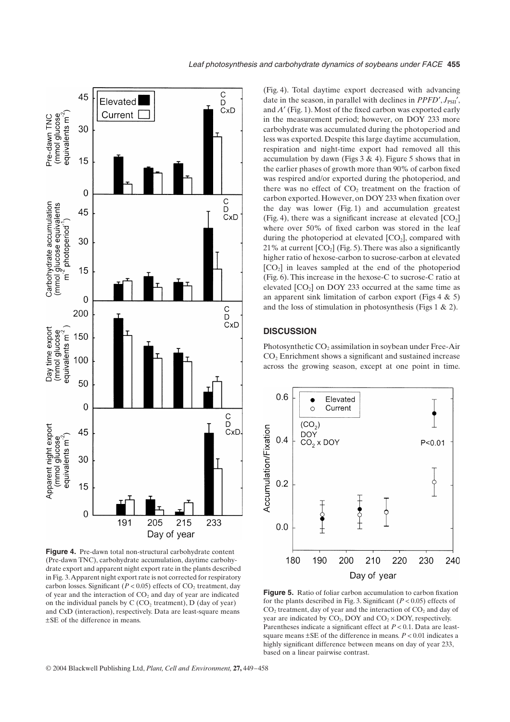

**Figure 4.** Pre-dawn total non-structural carbohydrate content (Pre-dawn TNC), carbohydrate accumulation, daytime carbohydrate export and apparent night export rate in the plants described in Fig. 3. Apparent night export rate is not corrected for respiratory carbon losses. Significant ( $P < 0.05$ ) effects of  $CO<sub>2</sub>$  treatment, day of year and the interaction of  $CO<sub>2</sub>$  and day of year are indicated on the individual panels by  $C (CO<sub>2</sub> treatment), D (day of year)$ and CxD (interaction), respectively. Data are least-square means ±SE of the difference in means.

(Fig. 4). Total daytime export decreased with advancing date in the season, in parallel with declines in *PPFD'*,  $J_{PSII}$ <sup>'</sup>, and *A*¢ (Fig. 1). Most of the fixed carbon was exported early in the measurement period; however, on DOY 233 more carbohydrate was accumulated during the photoperiod and less was exported. Despite this large daytime accumulation, respiration and night-time export had removed all this accumulation by dawn (Figs  $3 \& 4$ ). Figure  $5$  shows that in the earlier phases of growth more than 90% of carbon fixed was respired and/or exported during the photoperiod, and there was no effect of  $CO<sub>2</sub>$  treatment on the fraction of carbon exported. However, on DOY 233 when fixation over the day was lower (Fig. 1) and accumulation greatest (Fig. 4), there was a significant increase at elevated  $[CO<sub>2</sub>]$ where over 50% of fixed carbon was stored in the leaf during the photoperiod at elevated  $[CO_2]$ , compared with 21% at current  $[CO_2]$  (Fig. 5). There was also a significantly higher ratio of hexose-carbon to sucrose-carbon at elevated  $[CO<sub>2</sub>]$  in leaves sampled at the end of the photoperiod (Fig. 6). This increase in the hexose-C to sucrose-C ratio at elevated  $[CO<sub>2</sub>]$  on DOY 233 occurred at the same time as an apparent sink limitation of carbon export (Figs  $4 \& 5$ ) and the loss of stimulation in photosynthesis (Figs 1 & 2).

#### **DISCUSSION**

Photosynthetic  $CO<sub>2</sub>$  assimilation in soybean under Free-Air CO<sub>2</sub> Enrichment shows a significant and sustained increase across the growing season, except at one point in time.



**Figure 5.** Ratio of foliar carbon accumulation to carbon fixation for the plants described in Fig. 3. Significant (*P* < 0.05) effects of  $CO<sub>2</sub>$  treatment, day of year and the interaction of  $CO<sub>2</sub>$  and day of year are indicated by  $CO<sub>2</sub>$ , DOY and  $CO<sub>2</sub> \times$  DOY, respectively. Parentheses indicate a significant effect at *P* < 0.1. Data are leastsquare means  $\pm$ SE of the difference in means.  $P < 0.01$  indicates a highly significant difference between means on day of year 233, based on a linear pairwise contrast.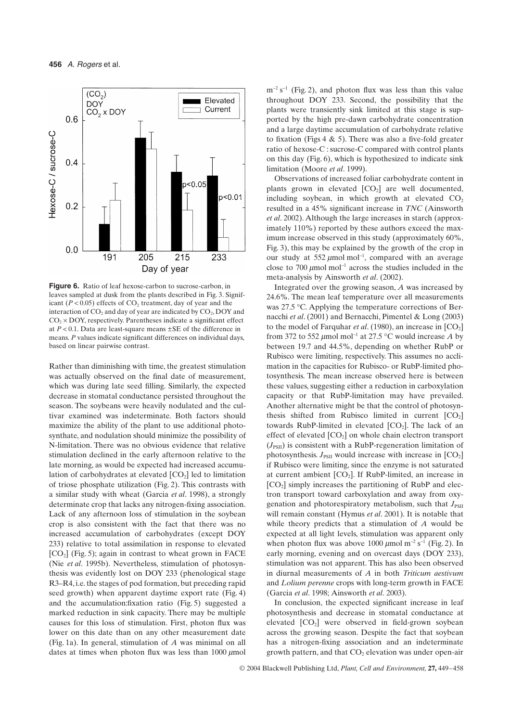

**Figure 6.** Ratio of leaf hexose-carbon to sucrose-carbon, in leaves sampled at dusk from the plants described in Fig. 3. Significant  $(P < 0.05)$  effects of CO<sub>2</sub> treatment, day of year and the interaction of  $CO<sub>2</sub>$  and day of year are indicated by  $CO<sub>2</sub>$ , DOY and  $CO<sub>2</sub> \times DOY$ , respectively. Parentheses indicate a significant effect at  $P < 0.1$ . Data are least-square means  $\pm$ SE of the difference in means. *P* values indicate significant differences on individual days, based on linear pairwise contrast.

Rather than diminishing with time, the greatest stimulation was actually observed on the final date of measurement, which was during late seed filling. Similarly, the expected decrease in stomatal conductance persisted throughout the season. The soybeans were heavily nodulated and the cultivar examined was indeterminate. Both factors should maximize the ability of the plant to use additional photosynthate, and nodulation should minimize the possibility of N-limitation. There was no obvious evidence that relative stimulation declined in the early afternoon relative to the late morning, as would be expected had increased accumulation of carbohydrates at elevated  $[CO<sub>2</sub>]$  led to limitation of triose phosphate utilization (Fig. 2). This contrasts with a similar study with wheat (Garcia *et al*. 1998), a strongly determinate crop that lacks any nitrogen-fixing association. Lack of any afternoon loss of stimulation in the soybean crop is also consistent with the fact that there was no increased accumulation of carbohydrates (except DOY 233) relative to total assimilation in response to elevated  $[CO<sub>2</sub>]$  (Fig. 5); again in contrast to wheat grown in FACE (Nie *et al*. 1995b). Nevertheless, stimulation of photosynthesis was evidently lost on DOY 233 (phenological stage R3–R4, i.e. the stages of pod formation, but preceding rapid seed growth) when apparent daytime export rate (Fig. 4) and the accumulation:fixation ratio (Fig. 5) suggested a marked reduction in sink capacity. There may be multiple causes for this loss of stimulation. First, photon flux was lower on this date than on any other measurement date (Fig. 1a). In general, stimulation of *A* was minimal on all dates at times when photon flux was less than  $1000 \mu$ mol

 $m^{-2}$  s<sup>-1</sup> (Fig. 2), and photon flux was less than this value throughout DOY 233. Second, the possibility that the plants were transiently sink limited at this stage is supported by the high pre-dawn carbohydrate concentration and a large daytime accumulation of carbohydrate relative to fixation (Figs  $4 \& 5$ ). There was also a five-fold greater ratio of hexose-C : sucrose-C compared with control plants on this day (Fig. 6), which is hypothesized to indicate sink limitation (Moore *et al*. 1999).

Observations of increased foliar carbohydrate content in plants grown in elevated  $[CO<sub>2</sub>]$  are well documented, including soybean, in which growth at elevated  $CO<sub>2</sub>$ resulted in a 45% significant increase in *TNC* (Ainsworth *et al*. 2002). Although the large increases in starch (approximately 110%) reported by these authors exceed the maximum increase observed in this study (approximately 60%, Fig. 3), this may be explained by the growth of the crop in our study at 552  $\mu$ mol mol<sup>-1</sup>, compared with an average close to 700  $\mu$ mol mol<sup>-1</sup> across the studies included in the meta-analysis by Ainsworth *et al*. (2002).

Integrated over the growing season, *A* was increased by 24.6%. The mean leaf temperature over all measurements was 27.5 ∞C. Applying the temperature corrections of Bernacchi *et al*. (2001) and Bernacchi, Pimentel & Long (2003) to the model of Farquhar *et al.* (1980), an increase in  $[CO<sub>2</sub>]$ from 372 to 552  $\mu$ mol mol<sup>-1</sup> at 27.5 °C would increase *A* by between 19.7 and 44.5%, depending on whether RubP or Rubisco were limiting, respectively. This assumes no acclimation in the capacities for Rubisco- or RubP-limited photosynthesis. The mean increase observed here is between these values, suggesting either a reduction in carboxylation capacity or that RubP-limitation may have prevailed. Another alternative might be that the control of photosynthesis shifted from Rubisco limited in current  $[CO<sub>2</sub>]$ towards RubP-limited in elevated  $[CO<sub>2</sub>]$ . The lack of an effect of elevated  $[CO<sub>2</sub>]$  on whole chain electron transport  $(J_{PSII})$  is consistent with a RubP-regeneration limitation of photosynthesis.  $J_{PSII}$  would increase with increase in  $[CO_2]$ if Rubisco were limiting, since the enzyme is not saturated at current ambient  $[CO_2]$ . If RubP-limited, an increase in [CO2] simply increases the partitioning of RubP and electron transport toward carboxylation and away from oxygenation and photorespiratory metabolism, such that  $J_{\text{PSII}}$ will remain constant (Hymus *et al*. 2001). It is notable that while theory predicts that a stimulation of *A* would be expected at all light levels, stimulation was apparent only when photon flux was above  $1000 \mu$ mol m<sup>-2</sup> s<sup>-1</sup> (Fig. 2). In early morning, evening and on overcast days (DOY 233), stimulation was not apparent. This has also been observed in diurnal measurements of *A* in both *Triticum aestivum* and *Lolium perenne* crops with long-term growth in FACE (Garcia *et al*. 1998; Ainsworth *et al*. 2003).

In conclusion, the expected significant increase in leaf photosynthesis and decrease in stomatal conductance at elevated  $[CO<sub>2</sub>]$  were observed in field-grown soybean across the growing season. Despite the fact that soybean has a nitrogen-fixing association and an indeterminate growth pattern, and that  $CO<sub>2</sub>$  elevation was under open-air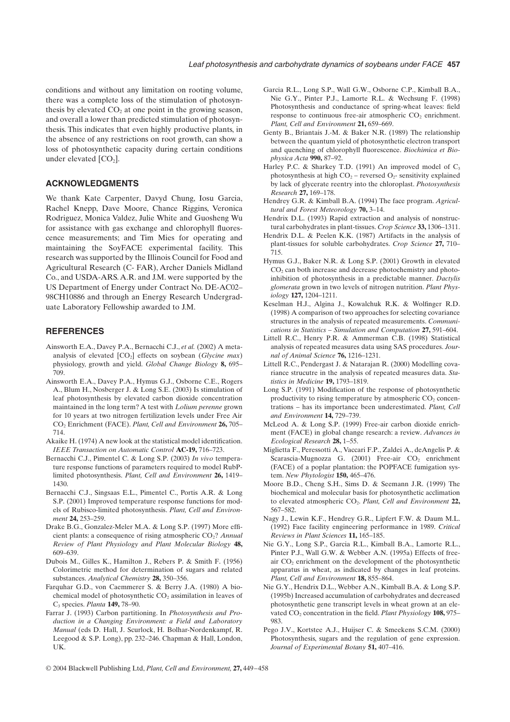conditions and without any limitation on rooting volume, there was a complete loss of the stimulation of photosynthesis by elevated  $CO<sub>2</sub>$  at one point in the growing season, and overall a lower than predicted stimulation of photosynthesis. This indicates that even highly productive plants, in the absence of any restrictions on root growth, can show a loss of photosynthetic capacity during certain conditions under elevated  $[CO<sub>2</sub>]$ .

## **ACKNOWLEDGMENTS**

We thank Kate Carpenter, Davyd Chung, Iosu Garcia, Rachel Knepp, Dave Moore, Chance Riggins, Veronica Rodriguez, Monica Valdez, Julie White and Guosheng Wu for assistance with gas exchange and chlorophyll fluorescence measurements; and Tim Mies for operating and maintaining the SoyFACE experimental facility. This research was supported by the Illinois Council for Food and Agricultural Research (C- FAR), Archer Daniels Midland Co., and USDA-ARS. A.R. and J.M. were supported by the US Department of Energy under Contract No. DE-AC02– 98CH10886 and through an Energy Research Undergraduate Laboratory Fellowship awarded to J.M.

#### **REFERENCES**

- Ainsworth E.A., Davey P.A., Bernacchi C.J., *et al.* (2002) A metaanalysis of elevated  $[CO_2]$  effects on soybean (*Glycine max*) physiology, growth and yield. *Global Change Biology* **8,** 695– 709.
- Ainsworth E.A., Davey P.A., Hymus G.J., Osborne C.E., Rogers A., Blum H., Nosberger J. & Long S.E. (2003) Is stimulation of leaf photosynthesis by elevated carbon dioxide concentration maintained in the long term? A test with *Lolium perenne* grown for 10 years at two nitrogen fertilization levels under Free Air CO2 Enrichment (FACE). *Plant, Cell and Environment* **26,** 705– 714.
- Akaike H. (1974) A new look at the statistical model identification. *IEEE Transaction on Automatic Control* **AC-19,** 716–723.
- Bernacchi C.J., Pimentel C. & Long S.P. (2003) *In vivo* temperature response functions of parameters required to model RubPlimited photosynthesis. *Plant, Cell and Environment* **26,** 1419– 1430.
- Bernacchi C.J., Singsaas E.L., Pimentel C., Portis A.R. & Long S.P. (2001) Improved temperature response functions for models of Rubisco-limited photosynthesis. *Plant, Cell and Environment* **24,** 253–259.
- Drake B.G., Gonzalez-Meler M.A. & Long S.P. (1997) More efficient plants: a consequence of rising atmospheric CO<sub>2</sub>? *Annual Review of Plant Physiology and Plant Molecular Biology* **48,** 609–639.
- Dubois M., Gilles K., Hamilton J., Rebers P. & Smith F. (1956) Colorimetric method for determination of sugars and related substances. *Analytical Chemistry* **28,** 350–356.
- Farquhar G.D., von Caemmerer S. & Berry J.A. (1980) A biochemical model of photosynthetic  $CO<sub>2</sub>$  assimilation in leaves of C3 species. *Planta* **149,** 78–90.
- Farrar J. (1993) Carbon partitioning. In *Photosynthesis and Production in a Changing Environment: a Field and Laboratory Manual* (eds D. Hall, J. Scurlock, H. Bolhar-Nordenkampf, R. Leegood & S.P. Long), pp. 232–246. Chapman & Hall, London, UK.
- Garcia R.L., Long S.P., Wall G.W., Osborne C.P., Kimball B.A., Nie G.Y., Pinter P.J., Lamorte R.L. & Wechsung F. (1998) Photosynthesis and conductance of spring-wheat leaves: field response to continuous free-air atmospheric  $CO<sub>2</sub>$  enrichment. *Plant, Cell and Environment* **21,** 659–669.
- Genty B., Briantais J.-M. & Baker N.R. (1989) The relationship between the quantum yield of photosynthetic electron transport and quenching of chlorophyll fluorescence. *Biochimica et Biophysica Acta* **990,** 87–92.
- Harley P.C. & Sharkey T.D. (1991) An improved model of  $C_3$ photosynthesis at high  $CO<sub>2</sub>$  – reversed  $O<sub>2</sub>$ - sensitivity explained by lack of glycerate reentry into the chloroplast. *Photosynthesis Research* **27,** 169–178.
- Hendrey G.R. & Kimball B.A. (1994) The face program. *Agricultural and Forest Meteorology* **70,** 3–14.
- Hendrix D.L. (1993) Rapid extraction and analysis of nonstructural carbohydrates in plant-tissues. *Crop Science* **33,** 1306–1311.
- Hendrix D.L. & Peelen K.K. (1987) Artifacts in the analysis of plant-tissues for soluble carbohydrates. *Crop Science* **27,** 710– 715.
- Hymus G.J., Baker N.R. & Long S.P. (2001) Growth in elevated  $CO<sub>2</sub>$  can both increase and decrease photochemistry and photoinhibition of photosynthesis in a predictable manner. *Dactylis glomerata* grown in two levels of nitrogen nutrition. *Plant Physiology* **127,** 1204–1211.
- Keselman H.J., Algina J., Kowalchuk R.K. & Wolfinger R.D. (1998) A comparison of two approaches for selecting covariance structures in the analysis of repeated measurements. *Communications in Statistics – Simulation and Computation* **27,** 591–604.
- Littell R.C., Henry P.R. & Ammerman C.B. (1998) Statistical analysis of repeated measures data using SAS procedures. *Journal of Animal Science* **76,** 1216–1231.
- Littell R.C., Pendergast J. & Natarajan R. (2000) Modelling covariance strucutre in the analysis of repeated measures data. *Statistics in Medicine* **19,** 1793–1819.
- Long S.P. (1991) Modification of the response of photosynthetic productivity to rising temperature by atmospheric  $CO<sub>2</sub>$  concentrations – has its importance been underestimated. *Plant, Cell and Environment* **14,** 729–739.
- McLeod A. & Long S.P. (1999) Free-air carbon dioxide enrichment (FACE) in global change research: a review. *Advances in Ecological Research* **28,** 1–55.
- Miglietta F., Peressotti A., Vaccari F.P., Zaldei A., deAngelis P. & Scarascia-Mugnozza G. (2001) Free-air  $CO<sub>2</sub>$  enrichment (FACE) of a poplar plantation: the POPFACE fumigation system. *New Phytologist* **150,** 465–476.
- Moore B.D., Cheng S.H., Sims D. & Seemann J.R. (1999) The biochemical and molecular basis for photosynthetic acclimation to elevated atmospheric CO<sub>2</sub>. Plant, Cell and Environment 22, 567–582.
- Nagy J., Lewin K.F., Hendrey G.R., Lipfert F.W. & Daum M.L. (1992) Face facility engineering performance in 1989. *Critical Reviews in Plant Sciences* **11,** 165–185.
- Nie G.Y., Long S.P., Garcia R.L., Kimball B.A., Lamorte R.L., Pinter P.J., Wall G.W. & Webber A.N. (1995a) Effects of freeair  $CO<sub>2</sub>$  enrichment on the development of the photosynthetic apparatus in wheat, as indicated by changes in leaf proteins. *Plant, Cell and Environment* **18,** 855–864.
- Nie G.Y., Hendrix D.L., Webber A.N., Kimball B.A. & Long S.P. (1995b) Increased accumulation of carbohydrates and decreased photosynthetic gene transcript levels in wheat grown at an elevated CO<sub>2</sub> concentration in the field. *Plant Physiology* 108, 975– 983.
- Pego J.V., Kortstee A.J., Huijser C. & Smeekens S.C.M. (2000) Photosynthesis, sugars and the regulation of gene expression. *Journal of Experimental Botany* **51,** 407–416.